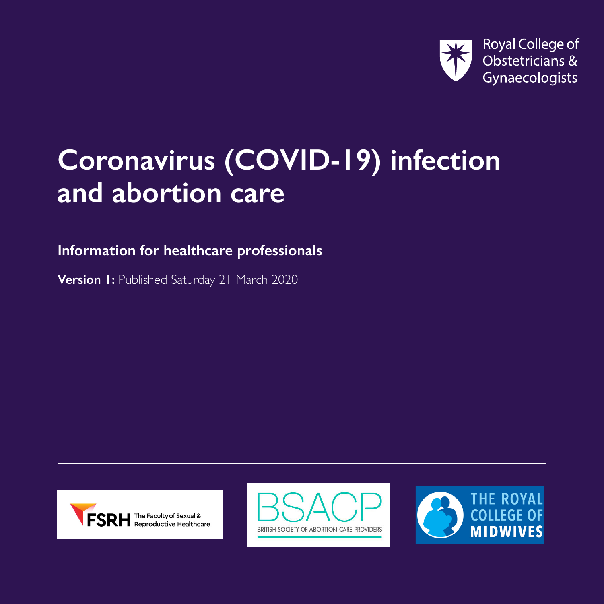

## **Coronavirus (COVID-19) infection and abortion care**

**Information for healthcare professionals**

**Version 1: Published Saturday 21 March 2020** 





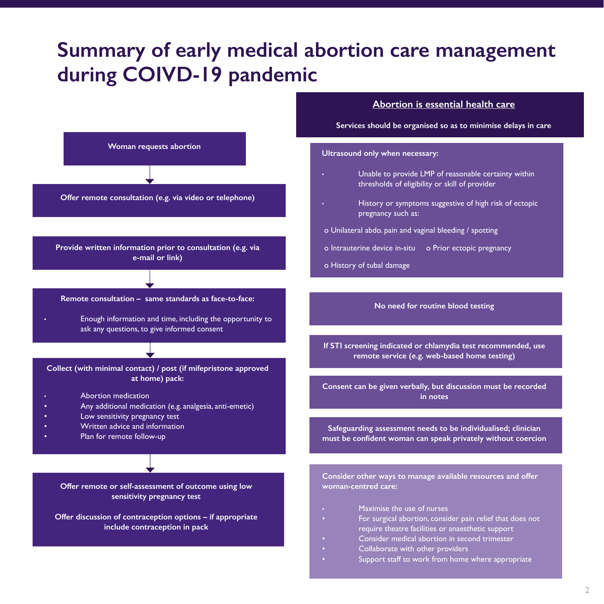### **Summary of early medical abortion care management during COIVD-19 pandemic**

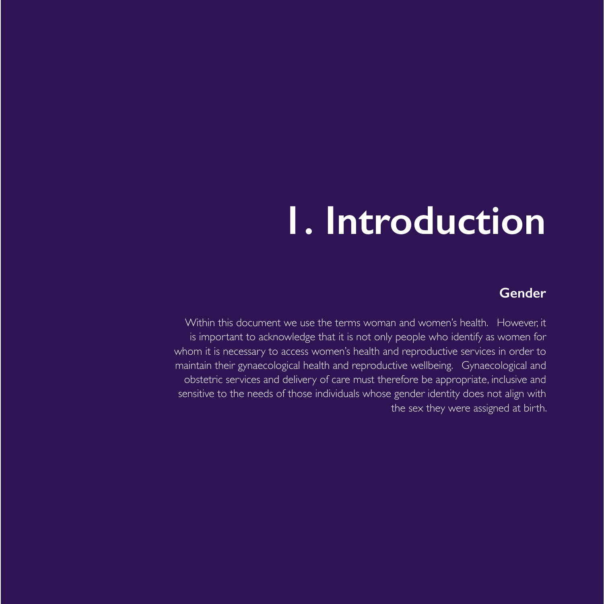## **1. Introduction**

#### **Gender**

Within this document we use the terms woman and women's health. However, it is important to acknowledge that it is not only people who identify as women for whom it is necessary to access women's health and reproductive services in order to maintain their gynaecological health and reproductive wellbeing. Gynaecological and obstetric services and delivery of care must therefore be appropriate, inclusive and sensitive to the needs of those individuals whose gender identity does not align with the sex they were assigned at birth.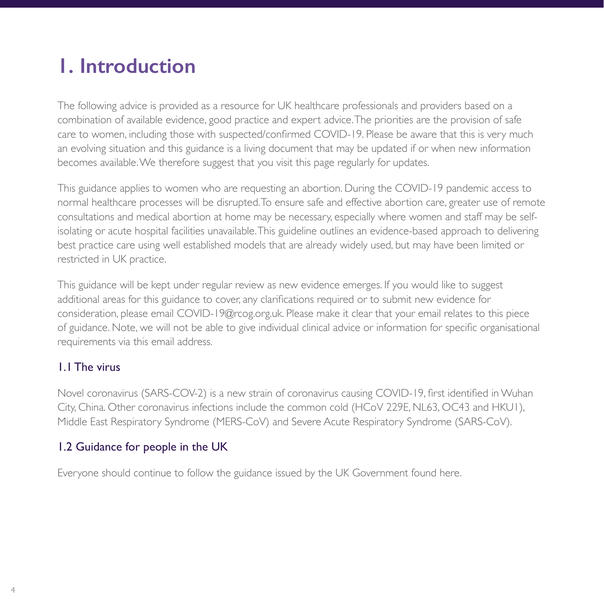## **1. Introduction**

The following advice is provided as a resource for UK healthcare professionals and providers based on a combination of available evidence, good practice and expert advice. The priorities are the provision of safe care to women, including those with suspected/confirmed COVID-19. Please be aware that this is very much an evolving situation and this guidance is a living document that may be updated if or when new information becomes available. We therefore suggest that you visit this page regularly for updates.

This guidance applies to women who are requesting an abortion. During the COVID-19 pandemic access to normal healthcare processes will be disrupted. To ensure safe and effective abortion care, greater use of remote consultations and medical abortion at home may be necessary, especially where women and staff may be selfisolating or acute hospital facilities unavailable. This guideline outlines an evidence-based approach to delivering best practice care using well established models that are already widely used, but may have been limited or restricted in UK practice.

This guidance will be kept under regular review as new evidence emerges. If you would like to suggest additional areas for this guidance to cover, any clarifications required or to submit new evidence for consideration, please email COVID-19@rcog.org.uk. Please make it clear that your email relates to this piece of guidance. Note, we will not be able to give individual clinical advice or information for specific organisational requirements via this email address.

#### 1.1 The virus

Novel coronavirus (SARS-COV-2) is a new strain of coronavirus causing COVID-19, first identified in Wuhan City, China. Other coronavirus infections include the common cold (HCoV 229E, NL63, OC43 and HKU1), Middle East Respiratory Syndrome (MERS-CoV) and Severe Acute Respiratory Syndrome (SARS-CoV).

#### 1.2 Guidance for people in the UK

Everyone should continue to follow the guidance issued by the UK Government found here.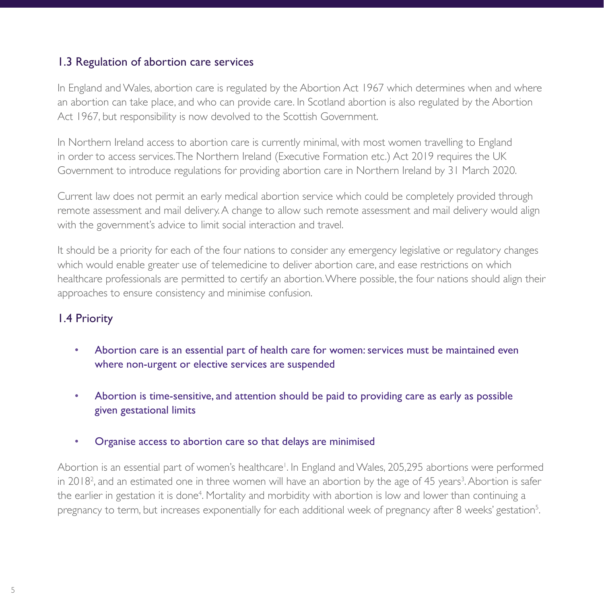#### 1.3 Regulation of abortion care services

In England and Wales, abortion care is regulated by the Abortion Act 1967 which determines when and where an abortion can take place, and who can provide care. In Scotland abortion is also regulated by the Abortion Act 1967, but responsibility is now devolved to the Scottish Government.

In Northern Ireland access to abortion care is currently minimal, with most women travelling to England in order to access services. The Northern Ireland (Executive Formation etc.) Act 2019 requires the UK Government to introduce regulations for providing abortion care in Northern Ireland by 31 March 2020.

Current law does not permit an early medical abortion service which could be completely provided through remote assessment and mail delivery. A change to allow such remote assessment and mail delivery would align with the government's advice to limit social interaction and travel.

It should be a priority for each of the four nations to consider any emergency legislative or regulatory changes which would enable greater use of telemedicine to deliver abortion care, and ease restrictions on which healthcare professionals are permitted to certify an abortion. Where possible, the four nations should align their approaches to ensure consistency and minimise confusion.

#### 1.4 Priority

- Abortion care is an essential part of health care for women: services must be maintained even where non-urgent or elective services are suspended
- Abortion is time-sensitive, and attention should be paid to providing care as early as possible given gestational limits
- Organise access to abortion care so that delays are minimised

Abortion is an essential part of women's healthcare<sup>1</sup>. In England and Wales, 205,295 abortions were performed in 2018<sup>2</sup>, and an estimated one in three women will have an abortion by the age of 45 years<sup>3</sup>. Abortion is safer the earlier in gestation it is done<sup>4</sup>. Mortality and morbidity with abortion is low and lower than continuing a pregnancy to term, but increases exponentially for each additional week of pregnancy after 8 weeks' gestation<sup>5</sup>.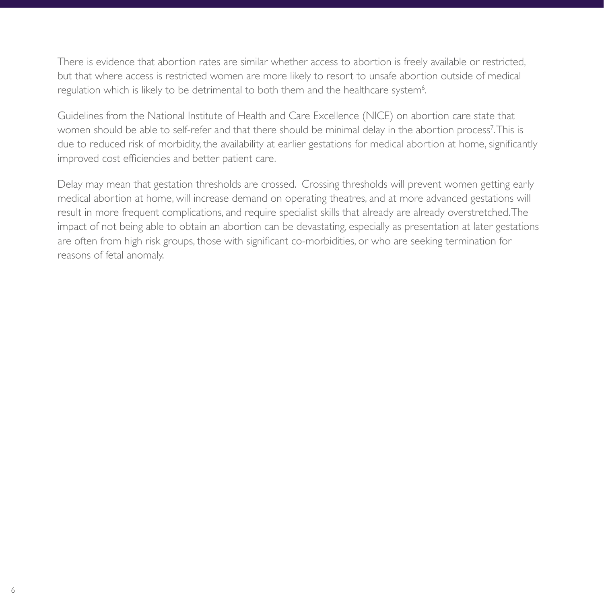There is evidence that abortion rates are similar whether access to abortion is freely available or restricted, but that where access is restricted women are more likely to resort to unsafe abortion outside of medical regulation which is likely to be detrimental to both them and the healthcare system $^{\rm 6}.$ 

Guidelines from the National Institute of Health and Care Excellence (NICE) on abortion care state that women should be able to self-refer and that there should be minimal delay in the abortion process'.This is due to reduced risk of morbidity, the availability at earlier gestations for medical abortion at home, significantly improved cost efficiencies and better patient care.

Delay may mean that gestation thresholds are crossed. Crossing thresholds will prevent women getting early medical abortion at home, will increase demand on operating theatres, and at more advanced gestations will result in more frequent complications, and require specialist skills that already are already overstretched. The impact of not being able to obtain an abortion can be devastating, especially as presentation at later gestations are often from high risk groups, those with significant co-morbidities, or who are seeking termination for reasons of fetal anomaly.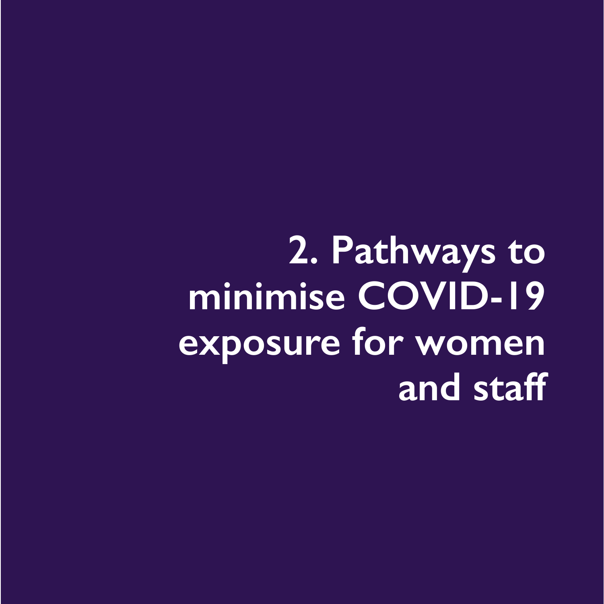# **2. Pathways to minimise COVID-19 exposure for women and staff**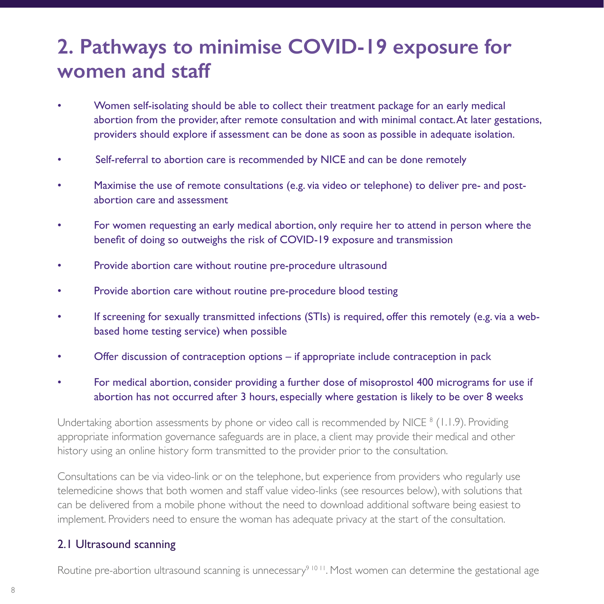## **2. Pathways to minimise COVID-19 exposure for women and staff**

- Women self-isolating should be able to collect their treatment package for an early medical abortion from the provider, after remote consultation and with minimal contact. At later gestations, providers should explore if assessment can be done as soon as possible in adequate isolation.
- Self-referral to abortion care is recommended by NICE and can be done remotely
- Maximise the use of remote consultations (e.g. via video or telephone) to deliver pre- and postabortion care and assessment
- For women requesting an early medical abortion, only require her to attend in person where the benefit of doing so outweighs the risk of COVID-19 exposure and transmission
- Provide abortion care without routine pre-procedure ultrasound
- Provide abortion care without routine pre-procedure blood testing
- If screening for sexually transmitted infections (STIs) is required, offer this remotely (e.g. via a webbased home testing service) when possible
- Offer discussion of contraception options if appropriate include contraception in pack
- For medical abortion, consider providing a further dose of misoprostol 400 micrograms for use if abortion has not occurred after 3 hours, especially where gestation is likely to be over 8 weeks

Undertaking abortion assessments by phone or video call is recommended by NICE <sup>8</sup> (1.1.9). Providing appropriate information governance safeguards are in place, a client may provide their medical and other history using an online history form transmitted to the provider prior to the consultation.

Consultations can be via video-link or on the telephone, but experience from providers who regularly use telemedicine shows that both women and staff value video-links (see resources below), with solutions that can be delivered from a mobile phone without the need to download additional software being easiest to implement. Providers need to ensure the woman has adequate privacy at the start of the consultation.

#### 2.1 Ultrasound scanning

Routine pre-abortion ultrasound scanning is unnecessary<sup>9 10 11</sup>. Most women can determine the gestational age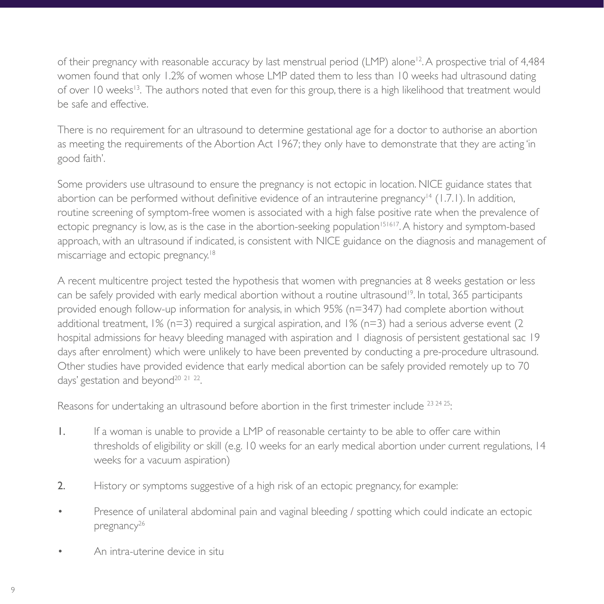of their pregnancy with reasonable accuracy by last menstrual period (LMP) alone<sup>12</sup>. A prospective trial of 4,484 women found that only 1.2% of women whose LMP dated them to less than 10 weeks had ultrasound dating of over 10 weeks<sup>13</sup>. The authors noted that even for this group, there is a high likelihood that treatment would be safe and effective.

There is no requirement for an ultrasound to determine gestational age for a doctor to authorise an abortion as meeting the requirements of the Abortion Act 1967; they only have to demonstrate that they are acting 'in good faith'.

Some providers use ultrasound to ensure the pregnancy is not ectopic in location. NICE guidance states that abortion can be performed without definitive evidence of an intrauterine pregnancy<sup>14</sup> (1.7.1). In addition, routine screening of symptom-free women is associated with a high false positive rate when the prevalence of ectopic pregnancy is low, as is the case in the abortion-seeking population<sup>151617</sup>. A history and symptom-based approach, with an ultrasound if indicated, is consistent with NICE guidance on the diagnosis and management of miscarriage and ectopic pregnancy.<sup>18</sup>

A recent multicentre project tested the hypothesis that women with pregnancies at 8 weeks gestation or less can be safely provided with early medical abortion without a routine ultrasound<sup>19</sup>. In total, 365 participants provided enough follow-up information for analysis, in which 95% (n=347) had complete abortion without additional treatment,  $1\%$  (n=3) required a surgical aspiration, and  $1\%$  (n=3) had a serious adverse event (2) hospital admissions for heavy bleeding managed with aspiration and 1 diagnosis of persistent gestational sac 19 days after enrolment) which were unlikely to have been prevented by conducting a pre-procedure ultrasound. Other studies have provided evidence that early medical abortion can be safely provided remotely up to 70 days' gestation and beyond<sup>20 21</sup> <sup>22</sup>.

Reasons for undertaking an ultrasound before abortion in the first trimester include  $^{23}$   $^{24}$   $^{25}$ :

- 1. If a woman is unable to provide a LMP of reasonable certainty to be able to offer care within thresholds of eligibility or skill (e.g. 10 weeks for an early medical abortion under current regulations, 14 weeks for a vacuum aspiration)
- 2. History or symptoms suggestive of a high risk of an ectopic pregnancy, for example:
- Presence of unilateral abdominal pain and vaginal bleeding / spotting which could indicate an ectopic pregnancy<sup>26</sup>
- An intra-uterine device in situ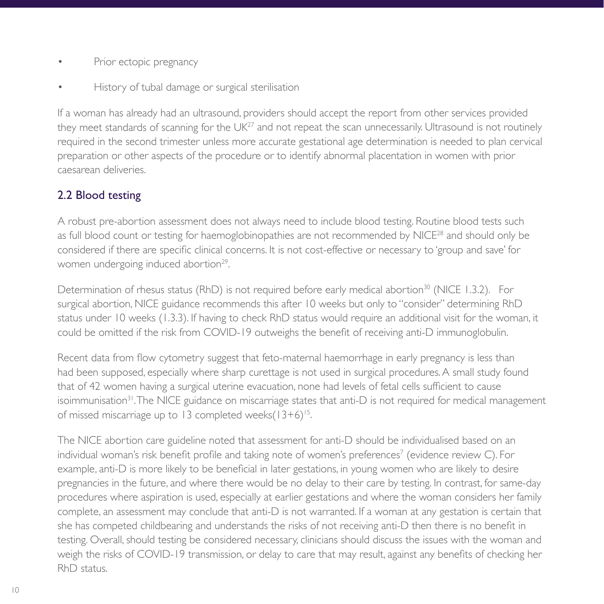- Prior ectopic pregnancy
- History of tubal damage or surgical sterilisation

If a woman has already had an ultrasound, providers should accept the report from other services provided they meet standards of scanning for the  $UK<sup>27</sup>$  and not repeat the scan unnecessarily. Ultrasound is not routinely required in the second trimester unless more accurate gestational age determination is needed to plan cervical preparation or other aspects of the procedure or to identify abnormal placentation in women with prior caesarean deliveries.

#### 2.2 Blood testing

A robust pre-abortion assessment does not always need to include blood testing. Routine blood tests such as full blood count or testing for haemoglobinopathies are not recommended by NICE<sup>28</sup> and should only be considered if there are specific clinical concerns. It is not cost-effective or necessary to 'group and save' for women undergoing induced abortion<sup>29</sup>.

Determination of rhesus status (RhD) is not required before early medical abortion<sup>30</sup> (NICE 1.3.2). For surgical abortion, NICE guidance recommends this after 10 weeks but only to "consider" determining RhD status under 10 weeks (1.3.3). If having to check RhD status would require an additional visit for the woman, it could be omitted if the risk from COVID-19 outweighs the benefit of receiving anti-D immunoglobulin.

Recent data from flow cytometry suggest that feto-maternal haemorrhage in early pregnancy is less than had been supposed, especially where sharp curettage is not used in surgical procedures. A small study found that of 42 women having a surgical uterine evacuation, none had levels of fetal cells sufficient to cause isoimmunisation<sup>31</sup>. The NICE guidance on miscarriage states that anti-D is not required for medical management of missed miscarriage up to 13 completed weeks $(13+6)^{15}$ .

The NICE abortion care guideline noted that assessment for anti-D should be individualised based on an individual woman's risk benefit profile and taking note of women's preferences $^7$  (evidence review C). For example, anti-D is more likely to be beneficial in later gestations, in young women who are likely to desire pregnancies in the future, and where there would be no delay to their care by testing. In contrast, for same-day procedures where aspiration is used, especially at earlier gestations and where the woman considers her family complete, an assessment may conclude that anti-D is not warranted. If a woman at any gestation is certain that she has competed childbearing and understands the risks of not receiving anti-D then there is no benefit in testing. Overall, should testing be considered necessary, clinicians should discuss the issues with the woman and weigh the risks of COVID-19 transmission, or delay to care that may result, against any benefits of checking her RhD status.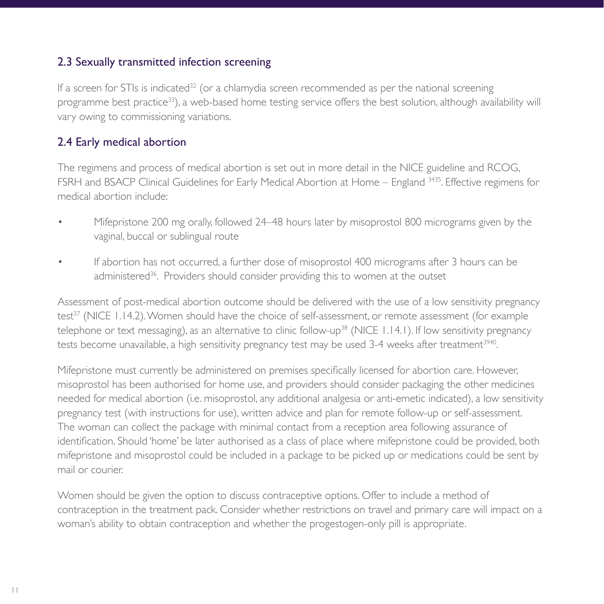#### 2.3 Sexually transmitted infection screening

If a screen for STIs is indicated<sup>32</sup> (or a chlamydia screen recommended as per the national screening programme best practice33), a web-based home testing service offers the best solution, although availability will vary owing to commissioning variations.

#### 2.4 Early medical abortion

The regimens and process of medical abortion is set out in more detail in the NICE guideline and RCOG, FSRH and BSACP Clinical Guidelines for Early Medical Abortion at Home – England <sup>3435</sup>. Effective regimens for medical abortion include:

- Mifepristone 200 mg orally, followed 24–48 hours later by misoprostol 800 micrograms given by the vaginal, buccal or sublingual route
- If abortion has not occurred, a further dose of misoprostol 400 micrograms after 3 hours can be administered<sup>36</sup>. Providers should consider providing this to women at the outset

Assessment of post-medical abortion outcome should be delivered with the use of a low sensitivity pregnancy test<sup>37</sup> (NICE 1.14.2). Women should have the choice of self-assessment, or remote assessment (for example telephone or text messaging), as an alternative to clinic follow-up<sup>38</sup> (NICE 1.14.1). If low sensitivity pregnancy tests become unavailable, a high sensitivity pregnancy test may be used 3-4 weeks after treatment<sup>3940</sup>.

Mifepristone must currently be administered on premises specifically licensed for abortion care. However, misoprostol has been authorised for home use, and providers should consider packaging the other medicines needed for medical abortion (i.e. misoprostol, any additional analgesia or anti-emetic indicated), a low sensitivity pregnancy test (with instructions for use), written advice and plan for remote follow-up or self-assessment. The woman can collect the package with minimal contact from a reception area following assurance of identification. Should 'home' be later authorised as a class of place where mifepristone could be provided, both mifepristone and misoprostol could be included in a package to be picked up or medications could be sent by mail or courier.

Women should be given the option to discuss contraceptive options. Offer to include a method of contraception in the treatment pack. Consider whether restrictions on travel and primary care will impact on a woman's ability to obtain contraception and whether the progestogen-only pill is appropriate.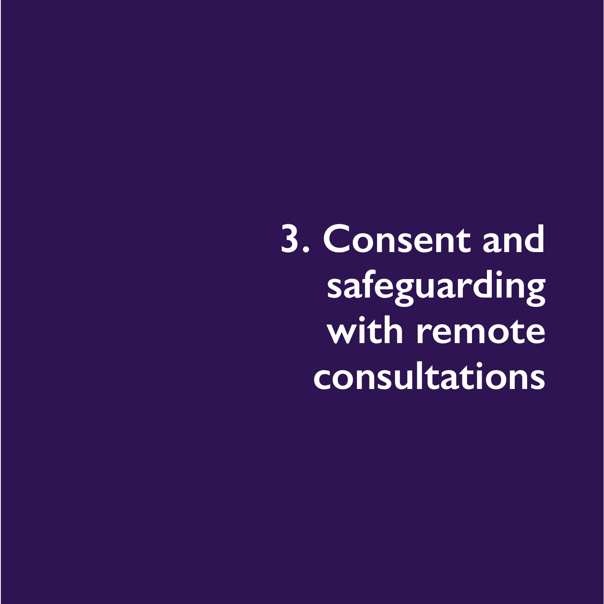**3. Consent and safeguarding with remote consultations**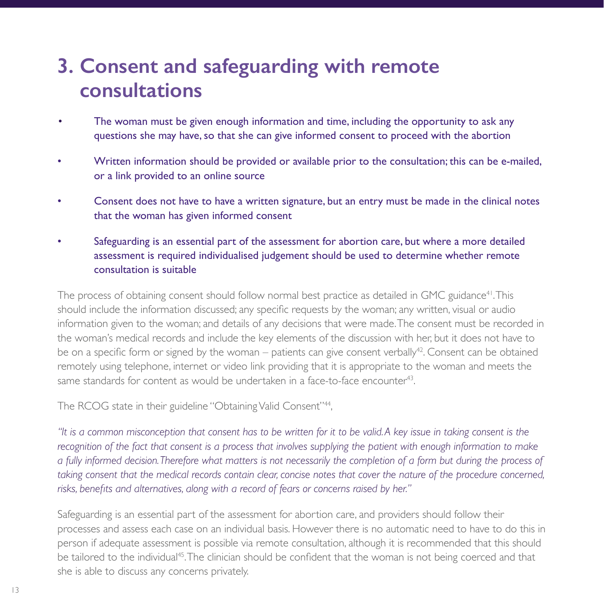## **3. Consent and safeguarding with remote consultations**

- The woman must be given enough information and time, including the opportunity to ask any questions she may have, so that she can give informed consent to proceed with the abortion
- Written information should be provided or available prior to the consultation; this can be e-mailed, or a link provided to an online source
- Consent does not have to have a written signature, but an entry must be made in the clinical notes that the woman has given informed consent
- Safeguarding is an essential part of the assessment for abortion care, but where a more detailed assessment is required individualised judgement should be used to determine whether remote consultation is suitable

The process of obtaining consent should follow normal best practice as detailed in GMC guidance<sup>41</sup>. This should include the information discussed; any specific requests by the woman; any written, visual or audio information given to the woman; and details of any decisions that were made. The consent must be recorded in the woman's medical records and include the key elements of the discussion with her, but it does not have to be on a specific form or signed by the woman – patients can give consent verbally<sup>42</sup>. Consent can be obtained remotely using telephone, internet or video link providing that it is appropriate to the woman and meets the same standards for content as would be undertaken in a face-to-face encounter<sup>43</sup>.

The RCOG state in their guideline "Obtaining Valid Consent"<sup>44</sup>,

*"It is a common misconception that consent has to be written for it to be valid. A key issue in taking consent is the recognition of the fact that consent is a process that involves supplying the patient with enough information to make a fully informed decision. Therefore what matters is not necessarily the completion of a form but during the process of taking consent that the medical records contain clear, concise notes that cover the nature of the procedure concerned, risks, benefits and alternatives, along with a record of fears or concerns raised by her."*

Safeguarding is an essential part of the assessment for abortion care, and providers should follow their processes and assess each case on an individual basis. However there is no automatic need to have to do this in person if adequate assessment is possible via remote consultation, although it is recommended that this should be tailored to the individual<sup>45</sup>. The clinician should be confident that the woman is not being coerced and that she is able to discuss any concerns privately.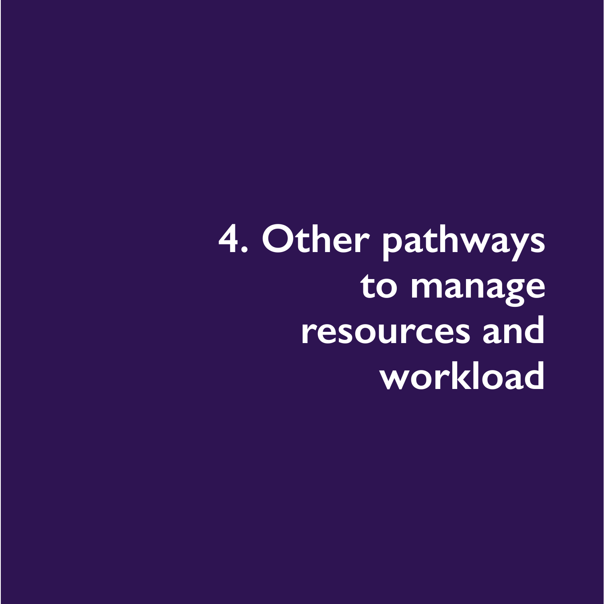**4. Other pathways to manage resources and workload**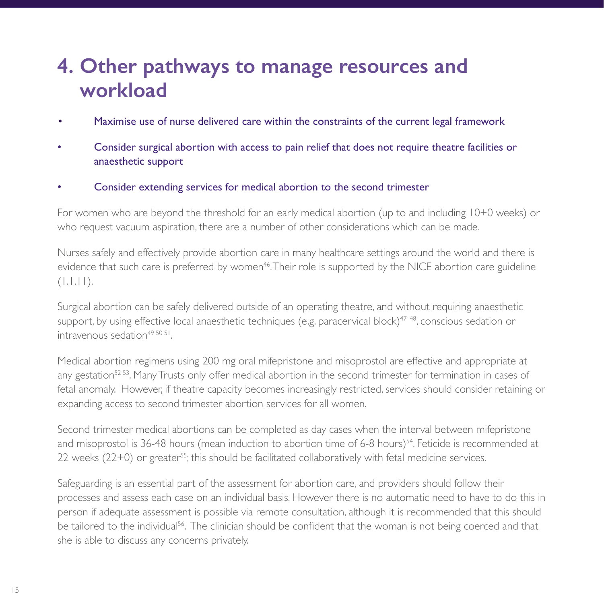## **4. Other pathways to manage resources and workload**

- Maximise use of nurse delivered care within the constraints of the current legal framework
- Consider surgical abortion with access to pain relief that does not require theatre facilities or anaesthetic support
- Consider extending services for medical abortion to the second trimester

For women who are beyond the threshold for an early medical abortion (up to and including 10+0 weeks) or who request vacuum aspiration, there are a number of other considerations which can be made.

Nurses safely and effectively provide abortion care in many healthcare settings around the world and there is evidence that such care is preferred by women<sup>46</sup>. Their role is supported by the NICE abortion care guideline  $(1.1.11)$ .

Surgical abortion can be safely delivered outside of an operating theatre, and without requiring anaesthetic support, by using effective local anaesthetic techniques (e.g. paracervical block)<sup>47</sup><sup>48</sup>, conscious sedation or intravenous sedation<sup>49 50 51</sup>

Medical abortion regimens using 200 mg oral mifepristone and misoprostol are effective and appropriate at any gestation<sup>52 53</sup>. Many Trusts only offer medical abortion in the second trimester for termination in cases of fetal anomaly. However, if theatre capacity becomes increasingly restricted, services should consider retaining or expanding access to second trimester abortion services for all women.

Second trimester medical abortions can be completed as day cases when the interval between mifepristone and misoprostol is 36-48 hours (mean induction to abortion time of 6-8 hours)<sup>54</sup>. Feticide is recommended at  $22$  weeks  $(22+0)$  or greater<sup>55</sup>; this should be facilitated collaboratively with fetal medicine services.

Safeguarding is an essential part of the assessment for abortion care, and providers should follow their processes and assess each case on an individual basis. However there is no automatic need to have to do this in person if adequate assessment is possible via remote consultation, although it is recommended that this should be tailored to the individual<sup>56</sup>. The clinician should be confident that the woman is not being coerced and that she is able to discuss any concerns privately.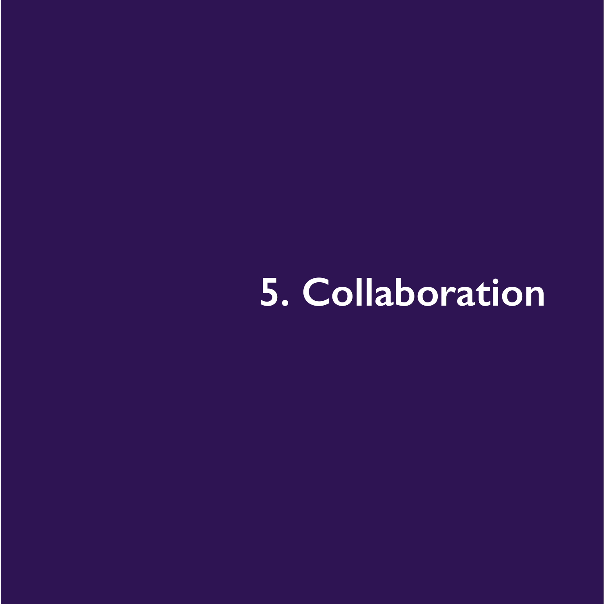## **5. Collaboration**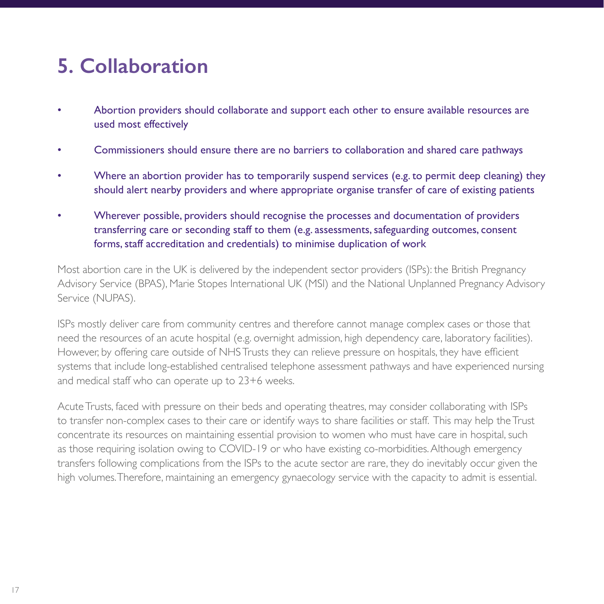## **5. Collaboration**

- Abortion providers should collaborate and support each other to ensure available resources are used most effectively
- Commissioners should ensure there are no barriers to collaboration and shared care pathways
- Where an abortion provider has to temporarily suspend services (e.g. to permit deep cleaning) they should alert nearby providers and where appropriate organise transfer of care of existing patients
- Wherever possible, providers should recognise the processes and documentation of providers transferring care or seconding staff to them (e.g. assessments, safeguarding outcomes, consent forms, staff accreditation and credentials) to minimise duplication of work

Most abortion care in the UK is delivered by the independent sector providers (ISPs): the British Pregnancy Advisory Service (BPAS), Marie Stopes International UK (MSI) and the National Unplanned Pregnancy Advisory Service (NUPAS).

ISPs mostly deliver care from community centres and therefore cannot manage complex cases or those that need the resources of an acute hospital (e.g. overnight admission, high dependency care, laboratory facilities). However, by offering care outside of NHS Trusts they can relieve pressure on hospitals, they have efficient systems that include long-established centralised telephone assessment pathways and have experienced nursing and medical staff who can operate up to 23+6 weeks.

Acute Trusts, faced with pressure on their beds and operating theatres, may consider collaborating with ISPs to transfer non-complex cases to their care or identify ways to share facilities or staff. This may help the Trust concentrate its resources on maintaining essential provision to women who must have care in hospital, such as those requiring isolation owing to COVID-19 or who have existing co-morbidities. Although emergency transfers following complications from the ISPs to the acute sector are rare, they do inevitably occur given the high volumes. Therefore, maintaining an emergency gynaecology service with the capacity to admit is essential.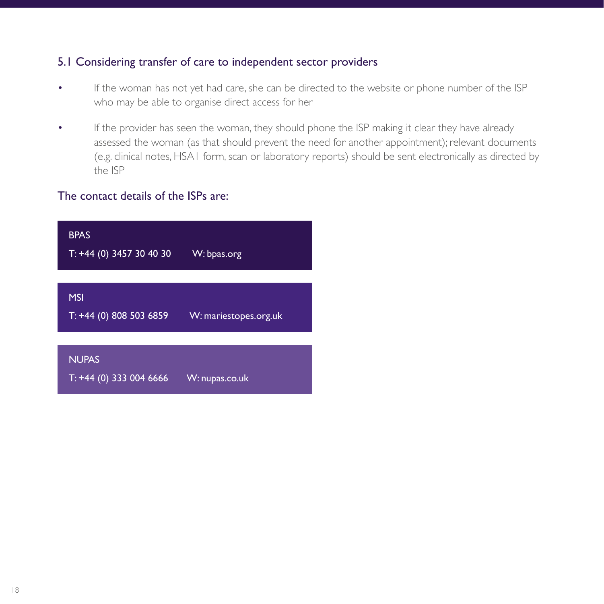#### 5.1 Considering transfer of care to independent sector providers

- If the woman has not yet had care, she can be directed to the website or phone number of the ISP who may be able to organise direct access for her
- If the provider has seen the woman, they should phone the ISP making it clear they have already assessed the woman (as that should prevent the need for another appointment); relevant documents (e.g. clinical notes, HSA1 form, scan or laboratory reports) should be sent electronically as directed by the ISP

#### The contact details of the ISPs are:

| <b>BPAS</b><br>$T: +44$ (0) 3457 30 40 30 | W: bpas.org           |
|-------------------------------------------|-----------------------|
|                                           |                       |
| <b>MSI</b><br>$T: +44$ (0) 808 503 6859   | W: mariestopes.org.uk |
|                                           |                       |
| <b>NUPAS</b><br>$T: +44$ (0) 333 004 6666 | W: nupas.co.uk        |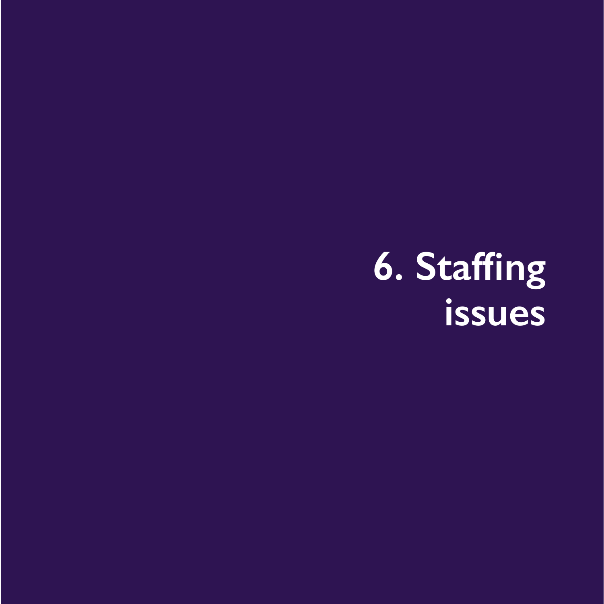## **6. Staffing issues**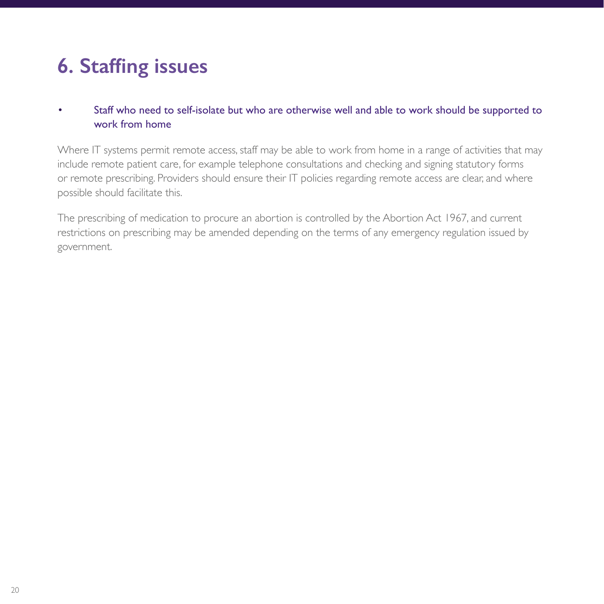## **6. Staffing issues**

• Staff who need to self-isolate but who are otherwise well and able to work should be supported to work from home

Where IT systems permit remote access, staff may be able to work from home in a range of activities that may include remote patient care, for example telephone consultations and checking and signing statutory forms or remote prescribing. Providers should ensure their IT policies regarding remote access are clear, and where possible should facilitate this.

The prescribing of medication to procure an abortion is controlled by the Abortion Act 1967, and current restrictions on prescribing may be amended depending on the terms of any emergency regulation issued by government.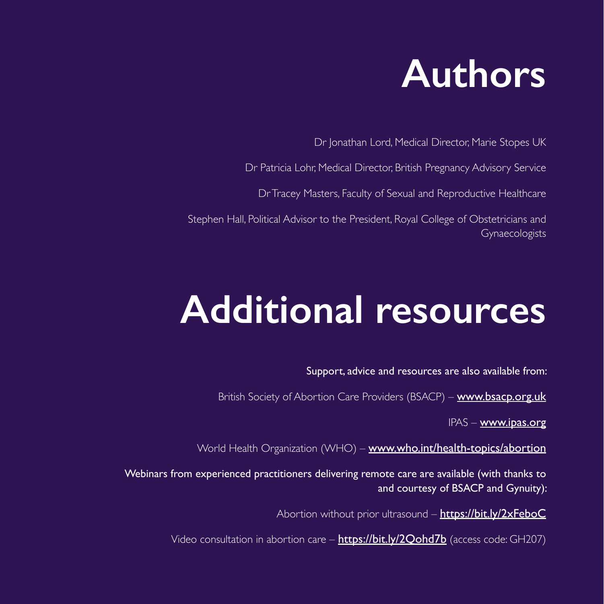

Dr Jonathan Lord, Medical Director, Marie Stopes UK

Dr Patricia Lohr, Medical Director, British Pregnancy Advisory Service

Dr Tracey Masters, Faculty of Sexual and Reproductive Healthcare

Stephen Hall, Political Advisor to the President, Royal College of Obstetricians and Gynaecologists

## **Additional resources**

Support, advice and resources are also available from:

British Society of Abortion Care Providers (BSACP) – [www.bsacp.org.uk](http://www.bsacp.org.uk )

IPAS – [www.ipas.org](http://www.ipas.org )

World Health Organization (WHO) – [www.who.int/health-topics/abortion](http://www.who.int/health-topics/abortion )

Webinars from experienced practitioners delivering remote care are available (with thanks to and courtesy of BSACP and Gynuity):

Abortion without prior ultrasound – https://bit.ly/2xFeboC

Video consultation in abortion care – <https://bit.ly/2Qohd7b> (access code: GH207)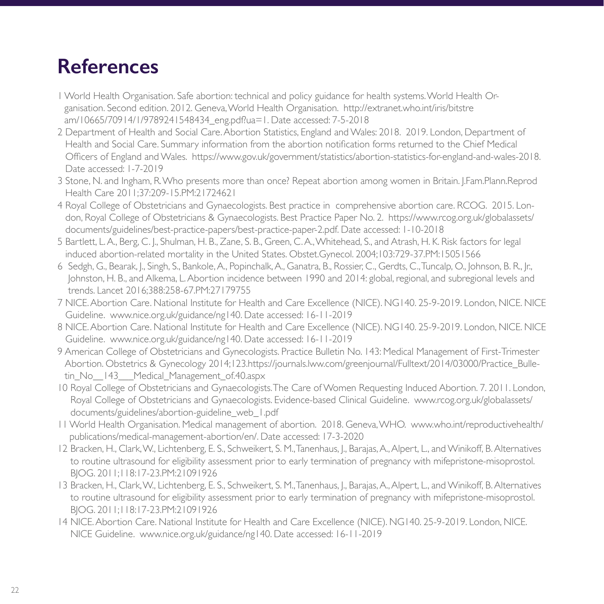- 1 World Health Organisation. Safe abortion: technical and policy guidance for health systems. World Health Organisation. Second edition. 2012. Geneva, World Health Organisation. http://extranet.who.int/iris/bitstre am/10665/70914/1/9789241548434\_eng.pdf?ua=1. Date accessed: 7-5-2018
- 2 Department of Health and Social Care. Abortion Statistics, England and Wales: 2018. 2019. London, Department of Health and Social Care. Summary information from the abortion notification forms returned to the Chief Medical Officers of England and Wales. https://www.gov.uk/government/statistics/abortion-statistics-for-england-and-wales-2018. Date accessed: 1-7-2019
- 3 Stone, N. and Ingham, R. Who presents more than once? Repeat abortion among women in Britain. J.Fam.Plann.Reprod Health Care 2011;37:209-15.PM:21724621
- 4 Royal College of Obstetricians and Gynaecologists. Best practice in comprehensive abortion care. RCOG. 2015. London, Royal College of Obstetricians & Gynaecologists. Best Practice Paper No. 2. https://www.rcog.org.uk/globalassets/ documents/guidelines/best-practice-papers/best-practice-paper-2.pdf. Date accessed: 1-10-2018
- 5 Bartlett, L. A., Berg, C. J., Shulman, H. B., Zane, S. B., Green, C. A., Whitehead, S., and Atrash, H. K. Risk factors for legal induced abortion-related mortality in the United States. Obstet.Gynecol. 2004;103:729-37.PM:15051566
- 6 Sedgh, G., Bearak, J., Singh, S., Bankole, A., Popinchalk, A., Ganatra, B., Rossier, C., Gerdts, C., Tuncalp, O., Johnson, B. R., Jr., Johnston, H. B., and Alkema, L. Abortion incidence between 1990 and 2014: global, regional, and subregional levels and trends. Lancet 2016;388:258-67.PM:27179755
- 7 NICE. Abortion Care. National Institute for Health and Care Excellence (NICE). NG140. 25-9-2019. London, NICE. NICE Guideline. www.nice.org.uk/guidance/ng140. Date accessed: 16-11-2019
- 8 NICE. Abortion Care. National Institute for Health and Care Excellence (NICE). NG140. 25-9-2019. London, NICE. NICE Guideline. www.nice.org.uk/guidance/ng140. Date accessed: 16-11-2019
- 9 American College of Obstetricians and Gynecologists. Practice Bulletin No. 143: Medical Management of First-Trimester Abortion. Obstetrics & Gynecology 2014;123.https://journals.lww.com/greenjournal/Fulltext/2014/03000/Practice\_Bulletin\_No 143 Medical\_Management\_of.40.aspx
- 10 Royal College of Obstetricians and Gynaecologists. The Care of Women Requesting Induced Abortion. 7. 2011. London, Royal College of Obstetricians and Gynaecologists. Evidence-based Clinical Guideline. www.rcog.org.uk/globalassets/ documents/guidelines/abortion-guideline\_web\_1.pdf
- 11 World Health Organisation. Medical management of abortion. 2018. Geneva, WHO. www.who.int/reproductivehealth/ publications/medical-management-abortion/en/. Date accessed: 17-3-2020
- 12 Bracken, H., Clark, W., Lichtenberg, E. S., Schweikert, S. M., Tanenhaus, J., Barajas, A., Alpert, L., and Winikoff, B. Alternatives to routine ultrasound for eligibility assessment prior to early termination of pregnancy with mifepristone-misoprostol. BJOG. 2011;118:17-23.PM:21091926
- 13 Bracken, H., Clark, W., Lichtenberg, E. S., Schweikert, S. M., Tanenhaus, J., Barajas, A., Alpert, L., and Winikoff, B. Alternatives to routine ultrasound for eligibility assessment prior to early termination of pregnancy with mifepristone-misoprostol. BJOG. 2011;118:17-23.PM:21091926
- 14 NICE. Abortion Care. National Institute for Health and Care Excellence (NICE). NG140. 25-9-2019. London, NICE. NICE Guideline. www.nice.org.uk/guidance/ng140. Date accessed: 16-11-2019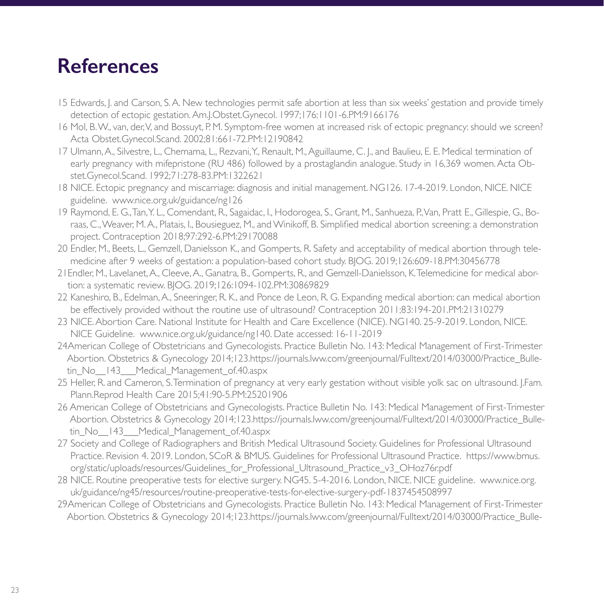- 15 Edwards, J. and Carson, S. A. New technologies permit safe abortion at less than six weeks' gestation and provide timely detection of ectopic gestation. Am.J.Obstet.Gynecol. 1997;176:1101-6.PM:9166176
- 16 Mol, B. W., van, der, V, and Bossuyt, P. M. Symptom-free women at increased risk of ectopic pregnancy: should we screen? Acta Obstet.Gynecol.Scand. 2002;81:661-72.PM:12190842
- 17 Ulmann, A., Silvestre, L., Chemama, L., Rezvani, Y., Renault, M., Aguillaume, C. J., and Baulieu, E. E. Medical termination of early pregnancy with mifepristone (RU 486) followed by a prostaglandin analogue. Study in 16,369 women. Acta Obstet.Gynecol.Scand. 1992;71:278-83.PM:1322621
- 18 NICE. Ectopic pregnancy and miscarriage: diagnosis and initial management. NG126. 17-4-2019. London, NICE. NICE guideline. www.nice.org.uk/guidance/ng126
- 19 Raymond, E. G., Tan, Y. L., Comendant, R., Sagaidac, I., Hodorogea, S., Grant, M., Sanhueza, P., Van, Pratt E., Gillespie, G., Boraas, C., Weaver, M. A., Platais, I., Bousieguez, M., and Winikoff, B. Simplified medical abortion screening: a demonstration project. Contraception 2018;97:292-6.PM:29170088
- 20 Endler, M., Beets, L., Gemzell, Danielsson K., and Gomperts, R. Safety and acceptability of medical abortion through telemedicine after 9 weeks of gestation: a population-based cohort study. BJOG. 2019;126:609-18.PM:30456778
- 21Endler, M., Lavelanet, A., Cleeve, A., Ganatra, B., Gomperts, R., and Gemzell-Danielsson, K. Telemedicine for medical abortion: a systematic review. BJOG. 2019;126:1094-102.PM:30869829
- 22 Kaneshiro, B., Edelman, A., Sneeringer, R. K., and Ponce de Leon, R. G. Expanding medical abortion: can medical abortion be effectively provided without the routine use of ultrasound? Contraception 2011;83:194-201.PM:21310279
- 23 NICE. Abortion Care. National Institute for Health and Care Excellence (NICE). NG140. 25-9-2019. London, NICE. NICE Guideline. www.nice.org.uk/guidance/ng140. Date accessed: 16-11-2019
- 24American College of Obstetricians and Gynecologists. Practice Bulletin No. 143: Medical Management of First-Trimester Abortion. Obstetrics & Gynecology 2014;123.https://journals.lww.com/greenjournal/Fulltext/2014/03000/Practice\_Bulletin No 143 Medical Management of.40.aspx
- 25 Heller, R. and Cameron, S. Termination of pregnancy at very early gestation without visible yolk sac on ultrasound. J.Fam. Plann.Reprod Health Care 2015;41:90-5.PM:25201906
- 26 American College of Obstetricians and Gynecologists. Practice Bulletin No. 143: Medical Management of First-Trimester Abortion. Obstetrics & Gynecology 2014;123.https://journals.lww.com/greenjournal/Fulltext/2014/03000/Practice\_Bulletin No 143 Medical Management of.40.aspx
- 27 Society and College of Radiographers and British Medical Ultrasound Society. Guidelines for Professional Ultrasound Practice. Revision 4. 2019. London, SCoR & BMUS. Guidelines for Professional Ultrasound Practice. https://www.bmus. org/static/uploads/resources/Guidelines\_for\_Professional\_Ultrasound\_Practice\_v3\_OHoz76r.pdf
- 28 NICE. Routine preoperative tests for elective surgery. NG45. 5-4-2016. London, NICE. NICE guideline. www.nice.org. uk/guidance/ng45/resources/routine-preoperative-tests-for-elective-surgery-pdf-1837454508997
- 29American College of Obstetricians and Gynecologists. Practice Bulletin No. 143: Medical Management of First-Trimester Abortion. Obstetrics & Gynecology 2014;123.https://journals.lww.com/greenjournal/Fulltext/2014/03000/Practice\_Bulle-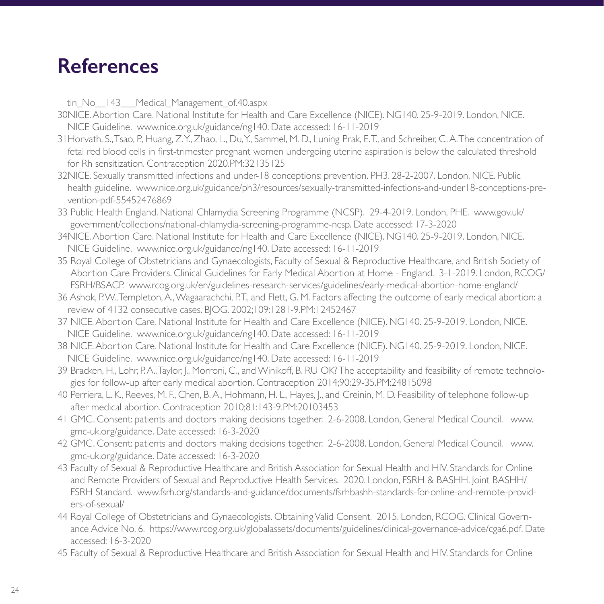tin No 143 Medical Management of.40.aspx

- 30NICE. Abortion Care. National Institute for Health and Care Excellence (NICE). NG140. 25-9-2019. London, NICE. NICE Guideline. www.nice.org.uk/guidance/ng140. Date accessed: 16-11-2019
- 31Horvath, S., Tsao, P., Huang, Z. Y., Zhao, L., Du, Y., Sammel, M. D., Luning Prak, E. T., and Schreiber, C. A. The concentration of fetal red blood cells in first-trimester pregnant women undergoing uterine aspiration is below the calculated threshold for Rh sensitization. Contraception 2020.PM:32135125
- 32NICE. Sexually transmitted infections and under-18 conceptions: prevention. PH3. 28-2-2007. London, NICE. Public health guideline. www.nice.org.uk/guidance/ph3/resources/sexually-transmitted-infections-and-under18-conceptions-prevention-pdf-55452476869
- 33 Public Health England. National Chlamydia Screening Programme (NCSP). 29-4-2019. London, PHE. www.gov.uk/ government/collections/national-chlamydia-screening-programme-ncsp. Date accessed: 17-3-2020
- 34NICE. Abortion Care. National Institute for Health and Care Excellence (NICE). NG140. 25-9-2019. London, NICE. NICE Guideline. www.nice.org.uk/guidance/ng140. Date accessed: 16-11-2019
- 35 Royal College of Obstetricians and Gynaecologists, Faculty of Sexual & Reproductive Healthcare, and British Society of Abortion Care Providers. Clinical Guidelines for Early Medical Abortion at Home - England. 3-1-2019. London, RCOG/ FSRH/BSACP. www.rcog.org.uk/en/guidelines-research-services/guidelines/early-medical-abortion-home-england/
- 36 Ashok, P.W., Templeton, A., Wagaarachchi, P.T., and Flett, G. M. Factors affecting the outcome of early medical abortion: a review of 4132 consecutive cases. BJOG. 2002;109:1281-9.PM:12452467
- 37 NICE. Abortion Care. National Institute for Health and Care Excellence (NICE). NG140. 25-9-2019. London, NICE. NICE Guideline. www.nice.org.uk/guidance/ng140. Date accessed: 16-11-2019
- 38 NICE. Abortion Care. National Institute for Health and Care Excellence (NICE). NG140. 25-9-2019. London, NICE. NICE Guideline. www.nice.org.uk/guidance/ng140. Date accessed: 16-11-2019
- 39 Bracken, H., Lohr, P. A., Taylor, J., Morroni, C., and Winikoff, B. RU OK? The acceptability and feasibility of remote technologies for follow-up after early medical abortion. Contraception 2014;90:29-35.PM:24815098
- 40 Perriera, L. K., Reeves, M. F., Chen, B. A., Hohmann, H. L., Hayes, J., and Creinin, M. D. Feasibility of telephone follow-up after medical abortion. Contraception 2010;81:143-9.PM:20103453
- 41 GMC. Consent: patients and doctors making decisions together. 2-6-2008. London, General Medical Council. www. gmc-uk.org/guidance. Date accessed: 16-3-2020
- 42 GMC. Consent: patients and doctors making decisions together. 2-6-2008. London, General Medical Council. www. gmc-uk.org/guidance. Date accessed: 16-3-2020
- 43 Faculty of Sexual & Reproductive Healthcare and British Association for Sexual Health and HIV. Standards for Online and Remote Providers of Sexual and Reproductive Health Services. 2020. London, FSRH & BASHH. Joint BASHH/ FSRH Standard. www.fsrh.org/standards-and-guidance/documents/fsrhbashh-standards-for-online-and-remote-providers-of-sexual/
- 44 Royal College of Obstetricians and Gynaecologists. Obtaining Valid Consent. 2015. London, RCOG. Clinical Governance Advice No. 6. https://www.rcog.org.uk/globalassets/documents/guidelines/clinical-governance-advice/cga6.pdf. Date accessed: 16-3-2020
- 45 Faculty of Sexual & Reproductive Healthcare and British Association for Sexual Health and HIV. Standards for Online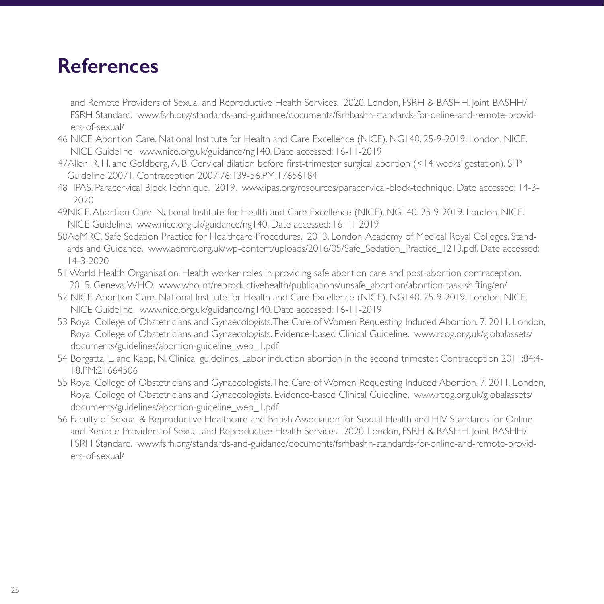and Remote Providers of Sexual and Reproductive Health Services. 2020. London, FSRH & BASHH. Joint BASHH/ FSRH Standard. www.fsrh.org/standards-and-guidance/documents/fsrhbashh-standards-for-online-and-remote-providers-of-sexual/

- 46 NICE. Abortion Care. National Institute for Health and Care Excellence (NICE). NG140. 25-9-2019. London, NICE. NICE Guideline. www.nice.org.uk/guidance/ng140. Date accessed: 16-11-2019
- 47Allen, R. H. and Goldberg, A. B. Cervical dilation before first-trimester surgical abortion (<14 weeks' gestation). SFP Guideline 20071. Contraception 2007;76:139-56.PM:17656184
- 48 IPAS. Paracervical Block Technique. 2019. www.ipas.org/resources/paracervical-block-technique. Date accessed: 14-3- 2020
- 49NICE. Abortion Care. National Institute for Health and Care Excellence (NICE). NG140. 25-9-2019. London, NICE. NICE Guideline. www.nice.org.uk/guidance/ng140. Date accessed: 16-11-2019
- 50AoMRC. Safe Sedation Practice for Healthcare Procedures. 2013. London, Academy of Medical Royal Colleges. Standards and Guidance. www.aomrc.org.uk/wp-content/uploads/2016/05/Safe\_Sedation\_Practice\_1213.pdf. Date accessed: 14-3-2020
- 51 World Health Organisation. Health worker roles in providing safe abortion care and post-abortion contraception. 2015. Geneva, WHO. www.who.int/reproductivehealth/publications/unsafe\_abortion/abortion-task-shifting/en/
- 52 NICE. Abortion Care. National Institute for Health and Care Excellence (NICE). NG140. 25-9-2019. London, NICE. NICE Guideline. www.nice.org.uk/guidance/ng140. Date accessed: 16-11-2019
- 53 Royal College of Obstetricians and Gynaecologists. The Care of Women Requesting Induced Abortion. 7. 2011. London, Royal College of Obstetricians and Gynaecologists. Evidence-based Clinical Guideline. www.rcog.org.uk/globalassets/ documents/guidelines/abortion-guideline\_web\_1.pdf
- 54 Borgatta, L. and Kapp, N. Clinical guidelines. Labor induction abortion in the second trimester. Contraception 2011;84:4- 18.PM:21664506
- 55 Royal College of Obstetricians and Gynaecologists. The Care of Women Requesting Induced Abortion. 7. 2011. London, Royal College of Obstetricians and Gynaecologists. Evidence-based Clinical Guideline. www.rcog.org.uk/globalassets/ documents/guidelines/abortion-guideline\_web\_1.pdf
- 56 Faculty of Sexual & Reproductive Healthcare and British Association for Sexual Health and HIV. Standards for Online and Remote Providers of Sexual and Reproductive Health Services. 2020. London, FSRH & BASHH. Joint BASHH/ FSRH Standard. www.fsrh.org/standards-and-guidance/documents/fsrhbashh-standards-for-online-and-remote-providers-of-sexual/